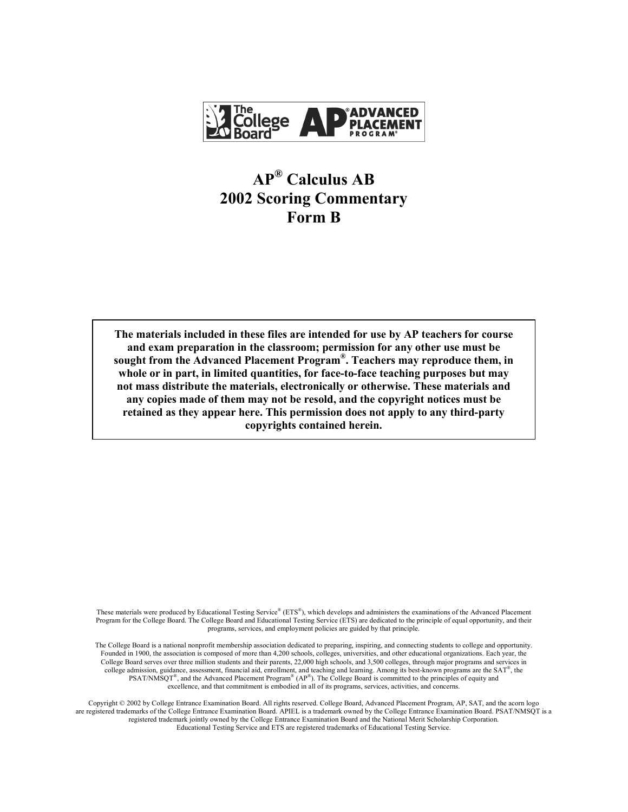

# **AP® Calculus AB 2002 Scoring Commentary Form B**

**The materials included in these files are intended for use by AP teachers for course and exam preparation in the classroom; permission for any other use must be sought from the Advanced Placement Program®. Teachers may reproduce them, in whole or in part, in limited quantities, for face-to-face teaching purposes but may not mass distribute the materials, electronically or otherwise. These materials and any copies made of them may not be resold, and the copyright notices must be retained as they appear here. This permission does not apply to any third-party copyrights contained herein.** 

These materials were produced by Educational Testing Service® (ETS®), which develops and administers the examinations of the Advanced Placement Program for the College Board. The College Board and Educational Testing Service (ETS) are dedicated to the principle of equal opportunity, and their programs, services, and employment policies are guided by that principle.

The College Board is a national nonprofit membership association dedicated to preparing, inspiring, and connecting students to college and opportunity. Founded in 1900, the association is composed of more than 4,200 schools, colleges, universities, and other educational organizations. Each year, the College Board serves over three million students and their parents, 22,000 high schools, and 3,500 colleges, through major programs and services in college admission, guidance, assessment, financial aid, enrollment, and teaching and learning. Among its best-known programs are the SAT®, the PSAT/NMSQT<sup>®</sup>, and the Advanced Placement Program<sup>®</sup> (AP<sup>®</sup>). The College Board is committed to the principles of equity and excellence, and that commitment is embodied in all of its programs, services, activities, and concerns.

Copyright © 2002 by College Entrance Examination Board. All rights reserved. College Board, Advanced Placement Program, AP, SAT, and the acorn logo are registered trademarks of the College Entrance Examination Board. APIEL is a trademark owned by the College Entrance Examination Board. PSAT/NMSQT is a registered trademark jointly owned by the College Entrance Examination Board and the National Merit Scholarship Corporation. Educational Testing Service and ETS are registered trademarks of Educational Testing Service.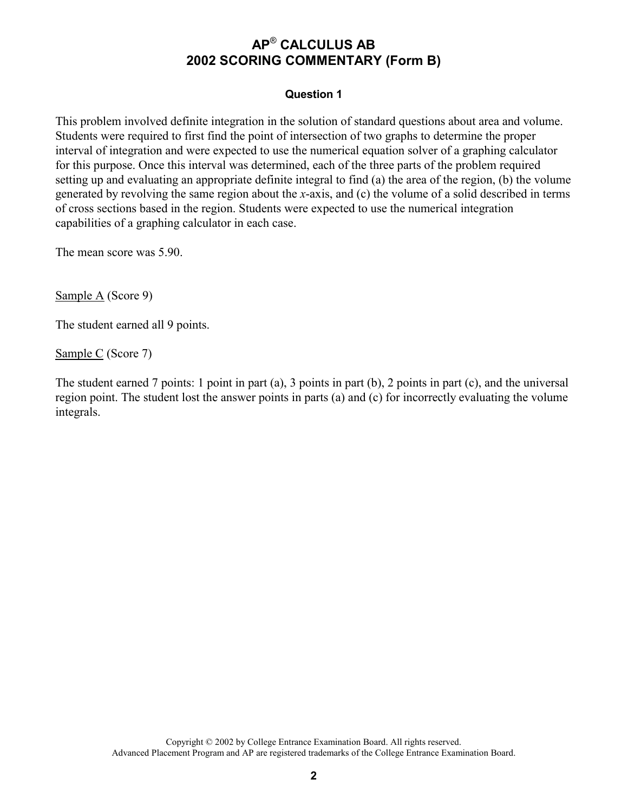#### **Question 1**

This problem involved definite integration in the solution of standard questions about area and volume. Students were required to first find the point of intersection of two graphs to determine the proper interval of integration and were expected to use the numerical equation solver of a graphing calculator for this purpose. Once this interval was determined, each of the three parts of the problem required setting up and evaluating an appropriate definite integral to find (a) the area of the region, (b) the volume generated by revolving the same region about the *x*-axis, and (c) the volume of a solid described in terms of cross sections based in the region. Students were expected to use the numerical integration capabilities of a graphing calculator in each case.

The mean score was 5.90.

Sample A (Score 9)

The student earned all 9 points.

Sample C (Score 7)

The student earned 7 points: 1 point in part (a), 3 points in part (b), 2 points in part (c), and the universal region point. The student lost the answer points in parts (a) and (c) for incorrectly evaluating the volume integrals.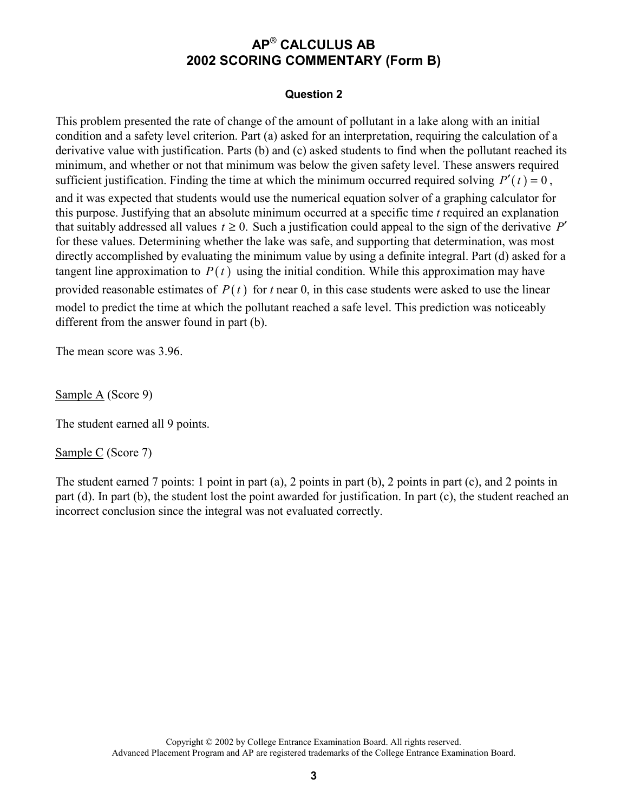#### **Question 2**

This problem presented the rate of change of the amount of pollutant in a lake along with an initial condition and a safety level criterion. Part (a) asked for an interpretation, requiring the calculation of a derivative value with justification. Parts (b) and (c) asked students to find when the pollutant reached its minimum, and whether or not that minimum was below the given safety level. These answers required sufficient justification. Finding the time at which the minimum occurred required solving  $P'(t) = 0$ , and it was expected that students would use the numerical equation solver of a graphing calculator for this purpose. Justifying that an absolute minimum occurred at a specific time *t* required an explanation that suitably addressed all values  $t \ge 0$ . Such a justification could appeal to the sign of the derivative  $P'$ for these values. Determining whether the lake was safe, and supporting that determination, was most directly accomplished by evaluating the minimum value by using a definite integral. Part (d) asked for a tangent line approximation to  $P(t)$  using the initial condition. While this approximation may have provided reasonable estimates of  $P(t)$  for *t* near 0, in this case students were asked to use the linear model to predict the time at which the pollutant reached a safe level. This prediction was noticeably different from the answer found in part (b).

The mean score was 3.96.

Sample A (Score 9)

The student earned all 9 points.

Sample C (Score 7)

The student earned 7 points: 1 point in part (a), 2 points in part (b), 2 points in part (c), and 2 points in part (d). In part (b), the student lost the point awarded for justification. In part (c), the student reached an incorrect conclusion since the integral was not evaluated correctly.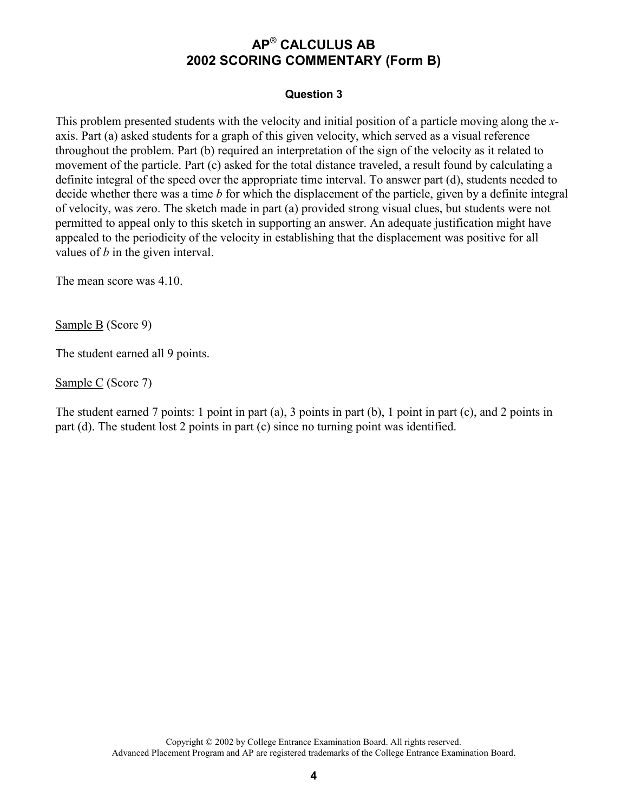#### **Question 3**

This problem presented students with the velocity and initial position of a particle moving along the *x*axis. Part (a) asked students for a graph of this given velocity, which served as a visual reference throughout the problem. Part (b) required an interpretation of the sign of the velocity as it related to movement of the particle. Part (c) asked for the total distance traveled, a result found by calculating a definite integral of the speed over the appropriate time interval. To answer part (d), students needed to decide whether there was a time *b* for which the displacement of the particle, given by a definite integral of velocity, was zero. The sketch made in part (a) provided strong visual clues, but students were not permitted to appeal only to this sketch in supporting an answer. An adequate justification might have appealed to the periodicity of the velocity in establishing that the displacement was positive for all values of *b* in the given interval.

The mean score was 4.10.

Sample B (Score 9)

The student earned all 9 points.

Sample C (Score 7)

The student earned 7 points: 1 point in part (a), 3 points in part (b), 1 point in part (c), and 2 points in part (d). The student lost 2 points in part (c) since no turning point was identified.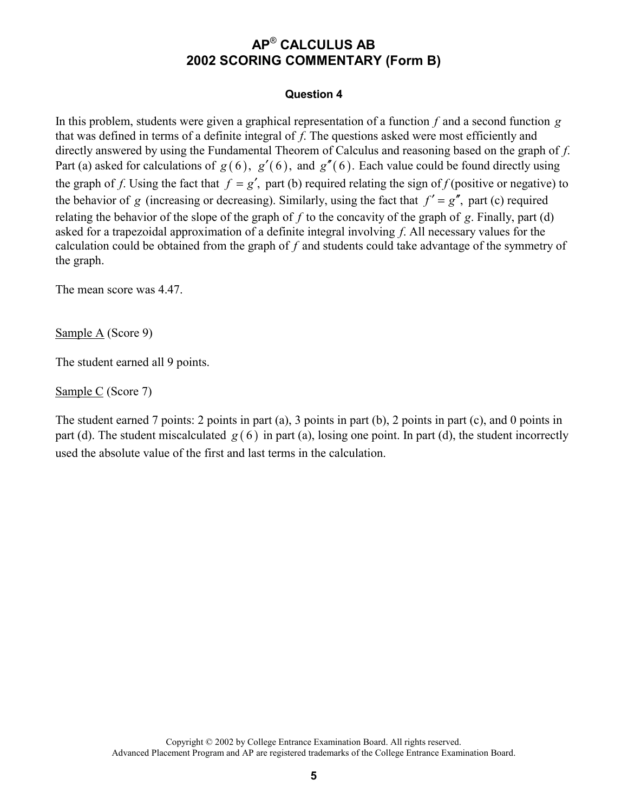#### **Question 4**

In this problem, students were given a graphical representation of a function *f* and a second function *g* that was defined in terms of a definite integral of *f*. The questions asked were most efficiently and directly answered by using the Fundamental Theorem of Calculus and reasoning based on the graph of *f*. Part (a) asked for calculations of  $g(6)$ ,  $g'(6)$ , and  $g''(6)$ . Each value could be found directly using the graph of *f*. Using the fact that  $f = g'$ , part (b) required relating the sign of *f* (positive or negative) to the behavior of *g* (increasing or decreasing). Similarly, using the fact that  $f' = g''$ , part (c) required relating the behavior of the slope of the graph of *f* to the concavity of the graph of *g*. Finally, part (d) asked for a trapezoidal approximation of a definite integral involving *f*. All necessary values for the calculation could be obtained from the graph of *f* and students could take advantage of the symmetry of the graph.

The mean score was 4.47

Sample A (Score 9)

The student earned all 9 points.

Sample C (Score 7)

The student earned 7 points: 2 points in part (a), 3 points in part (b), 2 points in part (c), and 0 points in part (d). The student miscalculated  $g(6)$  in part (a), losing one point. In part (d), the student incorrectly used the absolute value of the first and last terms in the calculation.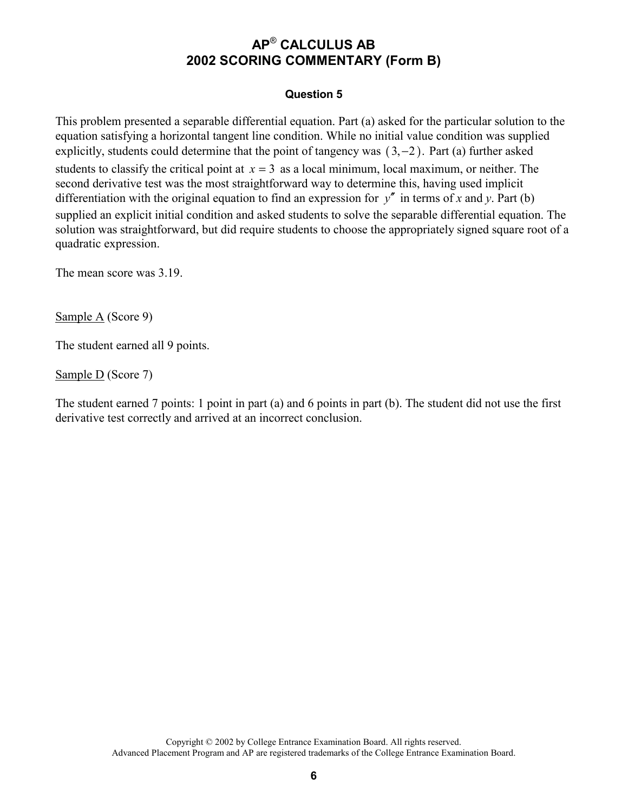#### **Question 5**

This problem presented a separable differential equation. Part (a) asked for the particular solution to the equation satisfying a horizontal tangent line condition. While no initial value condition was supplied explicitly, students could determine that the point of tangency was  $(3, -2)$ . Part (a) further asked students to classify the critical point at  $x = 3$  as a local minimum, local maximum, or neither. The second derivative test was the most straightforward way to determine this, having used implicit differentiation with the original equation to find an expression for  $y''$  in terms of x and y. Part (b) supplied an explicit initial condition and asked students to solve the separable differential equation. The solution was straightforward, but did require students to choose the appropriately signed square root of a quadratic expression.

The mean score was 3.19.

Sample A (Score 9)

The student earned all 9 points.

Sample D (Score 7)

The student earned 7 points: 1 point in part (a) and 6 points in part (b). The student did not use the first derivative test correctly and arrived at an incorrect conclusion.